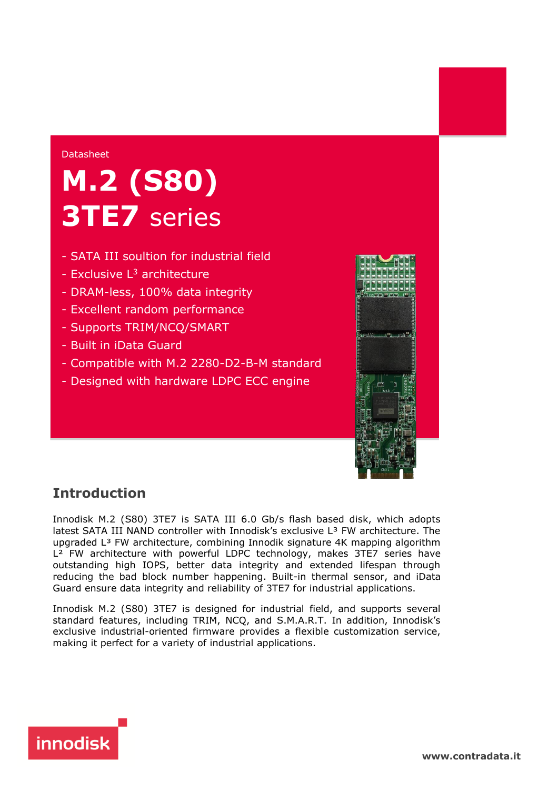#### Datasheet

# **M.2 (S80) 3TE7** series

- SATA III soultion for industrial field
- Exclusive  $L^3$  architecture
- DRAM-less, 100% data integrity
- Excellent random performance
- Supports TRIM/NCQ/SMART
- Built in iData Guard
- Compatible with M.2 2280-D2-B-M standard
- Designed with hardware LDPC ECC engine



# **Introduction**

Innodisk M.2 (S80) 3TE7 is SATA III 6.0 Gb/s flash based disk, which adopts latest SATA III NAND controller with Innodisk's exclusive L<sup>3</sup> FW architecture. The upgraded L³ FW architecture, combining Innodik signature 4K mapping algorithm L<sup>2</sup> FW architecture with powerful LDPC technology, makes 3TE7 series have outstanding high IOPS, better data integrity and extended lifespan through reducing the bad block number happening. Built-in thermal sensor, and iData Guard ensure data integrity and reliability of 3TE7 for industrial applications.

Innodisk M.2 (S80) 3TE7 is designed for industrial field, and supports several standard features, including TRIM, NCQ, and S.M.A.R.T. In addition, Innodisk's exclusive industrial-oriented firmware provides a flexible customization service, making it perfect for a variety of industrial applications.



**[www.](http://www.contradata.it)[contradata.it](http://www.contradata.it)**